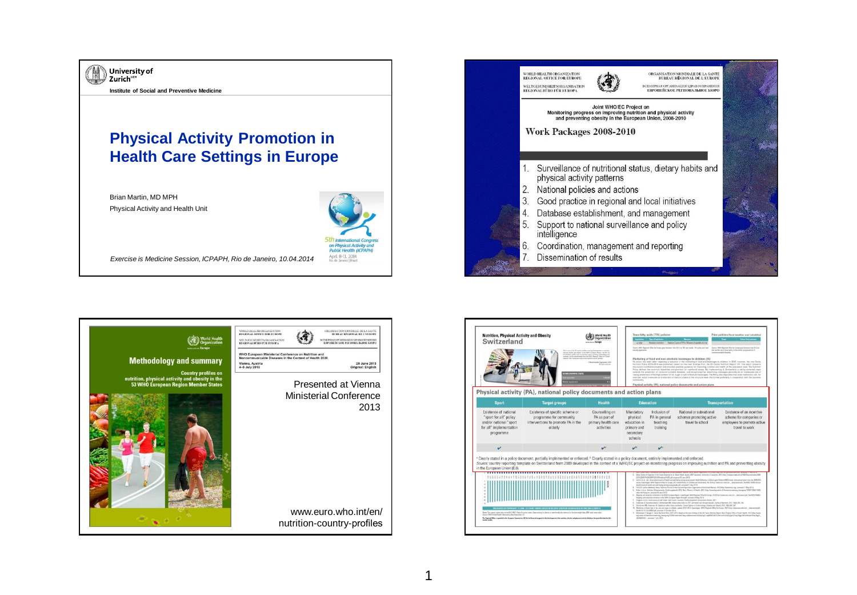



|                                                                                                                                                                                                                                                                                                                                                                            | This is one of the 10 months profit<br>the fields the process and contribution<br><b>GRAPHIC GATA</b>       | photost activity and sheetly as the 1977 Sympany Seguer. The full and<br>of reducting and he and as supported most including methodology and<br>event tas by particular fore the BHI Regional Office for Burger<br>Childricketh Digestation 2013<br>All called street and | industry approaches                                                          |                                                                                                                                                                                  | Journ WC Report Dite by Europe pay Decades from 2012 an THL and beath. THI public and heat                                                                                                                                                                                                                                                                                                                                                                                                                 | Starter: 1040 Regional Office for Europe grey University from 2012 an-<br>dut and fire up of final policy is the control and presentes of                                                                                                                                                                                                                                                                                                                                                                                                                                                                                                                                                                                                                                                                                                                                                                                                                                                                                                                                                                                                                                                                                 |
|----------------------------------------------------------------------------------------------------------------------------------------------------------------------------------------------------------------------------------------------------------------------------------------------------------------------------------------------------------------------------|-------------------------------------------------------------------------------------------------------------|---------------------------------------------------------------------------------------------------------------------------------------------------------------------------------------------------------------------------------------------------------------------------|------------------------------------------------------------------------------|----------------------------------------------------------------------------------------------------------------------------------------------------------------------------------|------------------------------------------------------------------------------------------------------------------------------------------------------------------------------------------------------------------------------------------------------------------------------------------------------------------------------------------------------------------------------------------------------------------------------------------------------------------------------------------------------------|---------------------------------------------------------------------------------------------------------------------------------------------------------------------------------------------------------------------------------------------------------------------------------------------------------------------------------------------------------------------------------------------------------------------------------------------------------------------------------------------------------------------------------------------------------------------------------------------------------------------------------------------------------------------------------------------------------------------------------------------------------------------------------------------------------------------------------------------------------------------------------------------------------------------------------------------------------------------------------------------------------------------------------------------------------------------------------------------------------------------------------------------------------------------------------------------------------------------------|
| Physical activity (PA), national policy documents and action plans                                                                                                                                                                                                                                                                                                         |                                                                                                             |                                                                                                                                                                                                                                                                           | contemporary                                                                 |                                                                                                                                                                                  | Marketing of food and non-alcoholic beverages to children (70)<br>Physical activity (PA), national policy documents and action plans                                                                                                                                                                                                                                                                                                                                                                       | noncementalis dopping<br>No action has been taken regarding a reduction in the methoding of food and beverages to children. In 2012, however, the new Sales<br>NAVISH Policy 2013-2010 was published, based on the main findings from the 60; Sansa Nutrition Report (71). This seport presents<br>the pursent nutritional situation and grouples practical quidance for improving nutrition and health at the population level. The Nutrition<br>Policy defines the country's objectives and provides on nutritional oxyges. By implementing it, Switzerland is taking assembly steps<br>towards the prevention of noncommunicatie doesnes, and recognizing that advertising metasges generally do an invidence/o job of<br>raising answerass of the high content of fat, sugar or sell in lood and beverages. The Policy also stipulates that state methology and stip<br>example, adopt measures on a voluntary or statutory basis at the structural level. the former preferably in cooperation with the business                                                                                                                                                                                                     |
| <b>Sport</b>                                                                                                                                                                                                                                                                                                                                                               | <b>Target groups</b>                                                                                        | <b>Health</b>                                                                                                                                                                                                                                                             | <b>Education</b>                                                             |                                                                                                                                                                                  | <b>Transportation</b>                                                                                                                                                                                                                                                                                                                                                                                                                                                                                      |                                                                                                                                                                                                                                                                                                                                                                                                                                                                                                                                                                                                                                                                                                                                                                                                                                                                                                                                                                                                                                                                                                                                                                                                                           |
| Existence of national<br>"sport for all" policy<br>and/or national "sport<br>for all" implementation<br>programme                                                                                                                                                                                                                                                          | Existence of specific scheme or<br>programme for community<br>interventions to promote PA in the<br>elderly | Counselling on<br>PA as part of<br>primary health care<br>activities                                                                                                                                                                                                      | Mandatory<br>physical<br>education in<br>primary and<br>secondary<br>schools | Inclusion of<br>PA in general<br>teaching<br>training                                                                                                                            | National or subnational.<br>schemes promoting active<br>travel to school                                                                                                                                                                                                                                                                                                                                                                                                                                   | Existence of an incentive<br>scheme for companies or<br>employees to promote active<br>travel to work                                                                                                                                                                                                                                                                                                                                                                                                                                                                                                                                                                                                                                                                                                                                                                                                                                                                                                                                                                                                                                                                                                                     |
| $\mathbf v$                                                                                                                                                                                                                                                                                                                                                                |                                                                                                             | $\mathcal{V}^1$                                                                                                                                                                                                                                                           | $\mathcal{L}^{\text{th}}$                                                    | v                                                                                                                                                                                |                                                                                                                                                                                                                                                                                                                                                                                                                                                                                                            |                                                                                                                                                                                                                                                                                                                                                                                                                                                                                                                                                                                                                                                                                                                                                                                                                                                                                                                                                                                                                                                                                                                                                                                                                           |
| * Clearly stated in a policy document, partially implemented or enforced. * Clearly stated in a policy document, entirely implemented and enforced.<br>Source: country reporting template on Switzerland from 2009 developed in the context of a WHO/EC project on monitoring progress on improving nutrition and PA and preventing obesity<br>in the European Union (EU). | PREVIOUS OF OVERVISION (%) DM  23.8 KG/MS AMERIC ADOUTE IN THE WHILE DRIPE AN ISSUE AND DE WIRE CETAALSE    |                                                                                                                                                                                                                                                                           |                                                                              | ESTATEFI-ALOE beneam, the MUSICAN CONTROL PRODUCT INTERFERI<br>attentions of leath and and being anony young people ad . account 21 May 2013.<br>CCC exit 32 news re-partners in | Maging sali raductor initiatives debts 1990 European Region-Nazi adf, acressed 25 May 2813.<br>Overpris A of al. Swisn number on call intaker mail results Leadanies Centra Hospitalian Dispersibles Western, 2011<br>B. Anderson M. Kenedonahan V. Zennemare MK Stole (silne make in 2011 and meds vier the part decide, Journal of Martines 2012, 1424) 78-750.<br>Zerowroan ME, Kederoon M. Undate or index status werklands. Current (pinion in Endormatica), Distribut and Desire 2012, 1975 302-307. | Sales Centre of Expertise in the Second Sciences et al. Switch News 2007, Successing University of Leconomy, 2012 Print Company-Microsoft and Countermating CEE<br>Cutrie Cat of , eds. Social determinants of health and and auto looky processory people Health Behaviour in School aged Children HBSC study international report has the JDDLTEID<br>areay Dipertuges, WAS Report 25ths for Europe, 2012 PAultA Policy for Children and Adolescents, No. 5 Prizy, News ages, who lini,  dois terminant, Mix-2020, 10205372000<br>DASENT (unline determined) Rome, Tradition Shakon of the Food and Agriculture Dependent of the United Nations, 2013 (May 1/Neomet Tex ong), accessed 21 May 2013.<br>False U.M.a. Salvan Scheenische Endorsementer 2012 Bes. Moscov of that N. 2012 Into Departus advis clythosopherations beautificated MAN/2200/1200/1200<br>Absorption Industrial Information of the BPO Corporate Neglect Copenhages, WAS Regional Office for Grope, 2012 Fretz Copporation and  Informational Swifters NAMES VANCE<br>15 Abolyting of faste high in fat, salt and easy to children update 2012-2013 Doemhapes, WHO Regional Office for Gorge, 2013 http://www.euro.advi.etc., detailerants/biff. |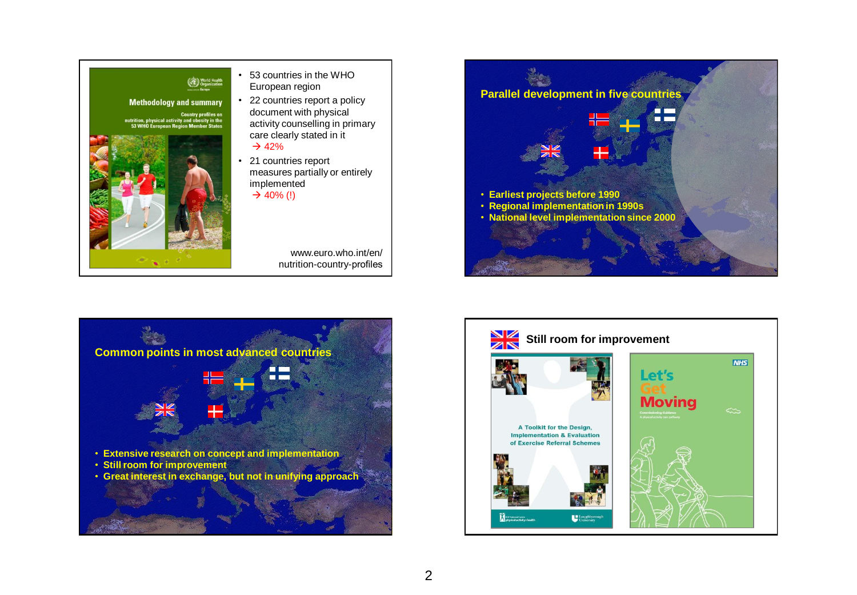





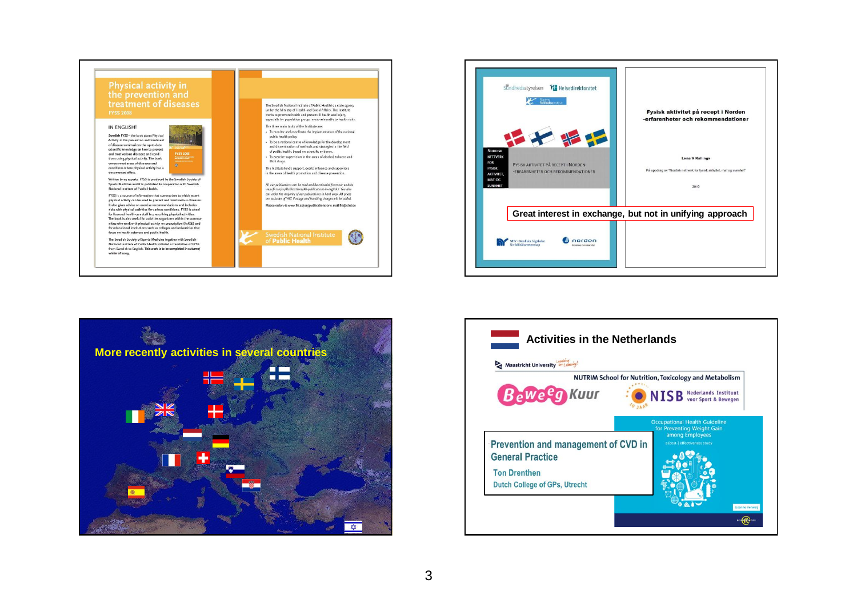





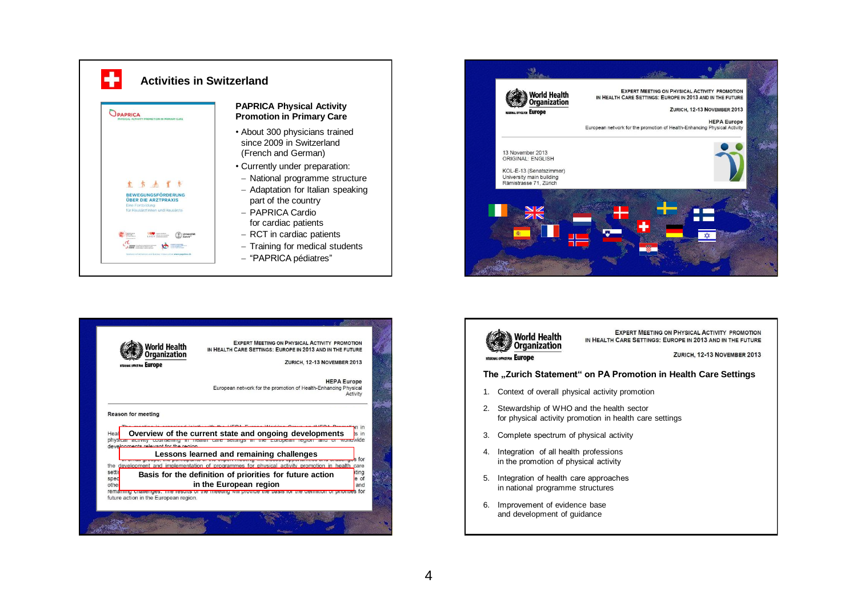







IN HEALTH CARE SETTINGS: EUROPE IN 2013 AND IN THE FUTURE ZURICH, 12-13 NOVEMBER 2013

**The "Zurich Statement" on PA Promotion in Health Care Settings** 

- 1. Context of overall physical activity promotion
- 2. Stewardship of WHO and the health sector for physical activity promotion in health care settings
- 3. Complete spectrum of physical activity
- 4. Integration of all health professions in the promotion of physical activity
- 5. Integration of health care approaches in national programme structures
- 6. Improvement of evidence base and development of guidance